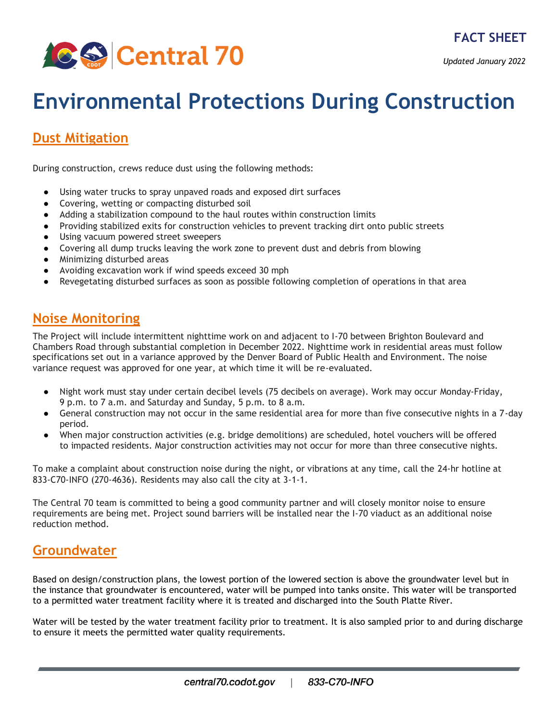

*Updated January 2022*

# **Environmental Protections During Construction**

### **[Dust Mitigation](https://www.codot.gov/projects/i70east/resources/environmental-protections-during-construction-1)**

During construction, crews reduce dust using the following methods:

- Using water trucks to spray unpaved roads and exposed dirt surfaces
- Covering, wetting or compacting disturbed soil
- Adding a stabilization compound to the haul routes within construction limits
- Providing stabilized exits for construction vehicles to prevent tracking dirt onto public streets
- Using vacuum powered street sweepers
- Covering all dump trucks leaving the work zone to prevent dust and debris from blowing
- Minimizing disturbed areas
- Avoiding excavation work if wind speeds exceed 30 mph
- Revegetating disturbed surfaces as soon as possible following completion of operations in that area

#### **[Noise Monitoring](https://www.codot.gov/projects/i70east/assets/graphics-and-maps/environmental-graphics/copy_of_c70-enviromentalwebsitepage-noisevibration_vfinal_200617_ic.pdf)**

The Project will include intermittent nighttime work on and adjacent to I-70 between Brighton Boulevard and Chambers Road through substantial completion in December 2022. Nighttime work in residential areas must follow specifications set out in a variance approved by the Denver Board of Public Health and Environment. The noise variance request was approved for one year, at which time it will be re-evaluated.

- Night work must stay under certain decibel levels (75 decibels on average). Work may occur Monday-Friday, 9 p.m. to 7 a.m. and Saturday and Sunday, 5 p.m. to 8 a.m.
- General construction may not occur in the same residential area for more than five consecutive nights in a 7-day period.
- When major construction activities (e.g. bridge demolitions) are scheduled, hotel vouchers will be offered to impacted residents. Major construction activities may not occur for more than three consecutive nights.

To make a complaint about construction noise during the night, or vibrations at any time, call the 24-hr hotline at 833-C70-INFO (270-4636). Residents may also call the city at 3-1-1.

The Central 70 team is committed to being a good community partner and will closely monitor noise to ensure requirements are being met. Project sound barriers will be installed near the I-70 viaduct as an additional noise reduction method.

#### **[Groundwater](https://www.codot.gov/projects/i70east/assets/graphics-and-maps/environmental-graphics/copy_of_c70-enviromentalwebsitepage-soilwater_vfinal_200617_ic.pdf)**

Based on design/construction plans, the lowest portion of the lowered section is above the groundwater level but in the instance that groundwater is encountered, water will be pumped into tanks onsite. This water will be transported to a permitted water treatment facility where it is treated and discharged into the South Platte River.

Water will be tested by the water treatment facility prior to treatment. It is also sampled prior to and during discharge to ensure it meets the permitted water quality requirements.